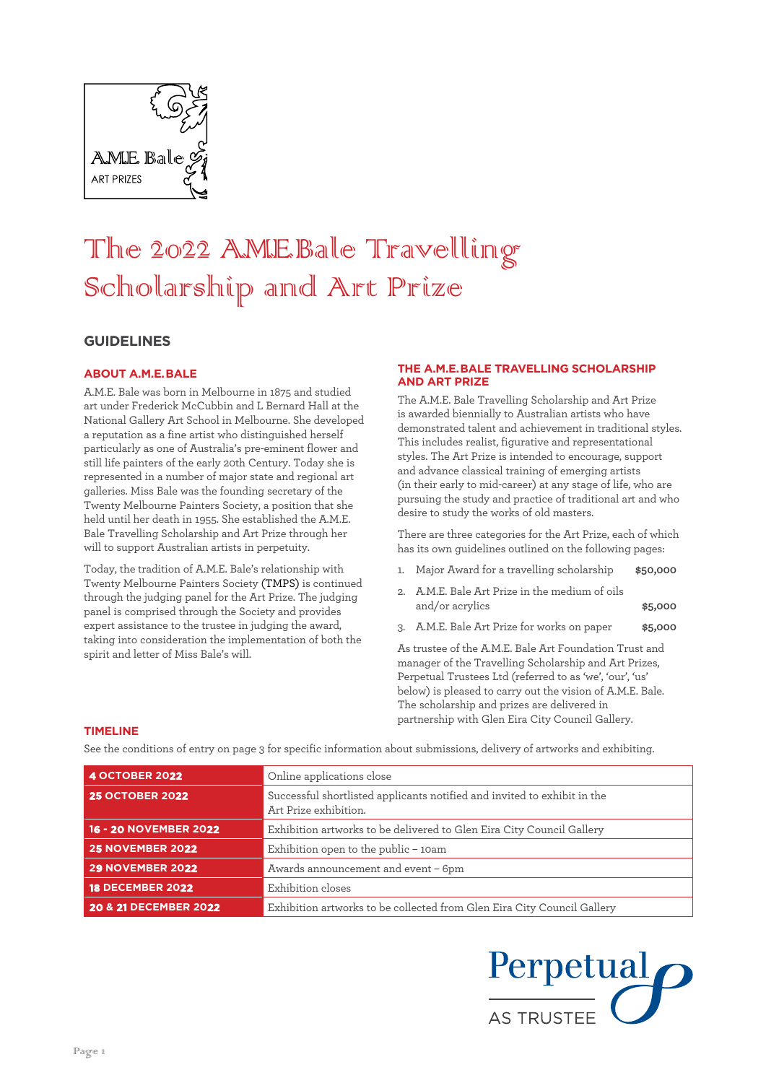

# The 2022 A.M.E.Balle Travelling Scholarship and Art Prize

# **GUIDELINES**

### **ABOUT A.M.E. BALE**

A.M.E. Bale was born in Melbourne in 1875 and studied art under Frederick McCubbin and L Bernard Hall at the National Gallery Art School in Melbourne. She developed a reputation as a fine artist who distinguished herself particularly as one of Australia's pre-eminent flower and still life painters of the early 20th Century. Today she is represented in a number of major state and regional art galleries. Miss Bale was the founding secretary of the Twenty Melbourne Painters Society, a position that she held until her death in 1955. She established the A.M.E. Bale Travelling Scholarship and Art Prize through her will to support Australian artists in perpetuity.

Today, the tradition of A.M.E. Bale's relationship with Twenty Melbourne Painters Society (TMPS) is continued through the judging panel for the Art Prize. The judging panel is comprised through the Society and provides expert assistance to the trustee in judging the award, taking into consideration the implementation of both the spirit and letter of Miss Bale's will.

#### **THE A.M.E. BALE TRAVELLING SCHOLARSHIP AND ART PRIZE**

The A.M.E. Bale Travelling Scholarship and Art Prize is awarded biennially to Australian artists who have demonstrated talent and achievement in traditional styles. This includes realist, figurative and representational styles. The Art Prize is intended to encourage, support and advance classical training of emerging artists (in their early to mid-career) at any stage of life, who are pursuing the study and practice of traditional art and who desire to study the works of old masters.

There are three categories for the Art Prize, each of which has its own guidelines outlined on the following pages:

- 1. Major Award for a travelling scholarship **\$50,000**
- 2. A.M.E. Bale Art Prize in the medium of oils and/or acrylics **\$5,000**
- 3. A.M.E. Bale Art Prize for works on paper **\$5,000**

As trustee of the A.M.E. Bale Art Foundation Trust and manager of the Travelling Scholarship and Art Prizes, Perpetual Trustees Ltd (referred to as 'we', 'our', 'us' below) is pleased to carry out the vision of A.M.E. Bale. The scholarship and prizes are delivered in partnership with Glen Eira City Council Gallery.

#### **TIMELINE**

See the conditions of entry on page 3 for specific information about submissions, delivery of artworks and exhibiting.

| <b>4 OCTOBER 2022</b>   | Online applications close                                                                         |
|-------------------------|---------------------------------------------------------------------------------------------------|
| <b>25 OCTOBER 2022</b>  | Successful shortlisted applicants notified and invited to exhibit in the<br>Art Prize exhibition. |
| 16 - 20 NOVEMBER 2022   | Exhibition artworks to be delivered to Glen Eira City Council Gallery                             |
| <b>25 NOVEMBER 2022</b> | Exhibition open to the public - 10am                                                              |
| 29 NOVEMBER 2022        | Awards announcement and event - 6pm                                                               |
| <b>18 DECEMBER 2022</b> | Exhibition closes                                                                                 |
| 20 & 21 DECEMBER 2022   | Exhibition artworks to be collected from Glen Eira City Council Gallery                           |

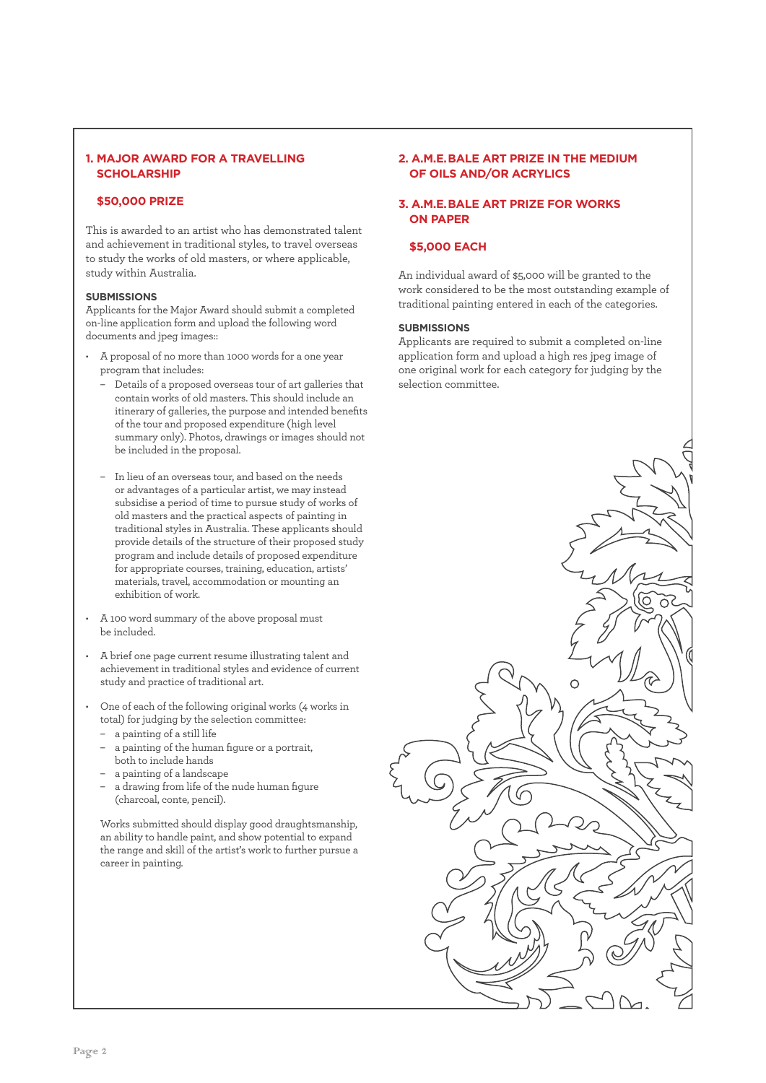### **1. MAJOR AWARD FOR A TRAVELLING SCHOLARSHIP**

#### **\$50,000 PRIZE**

This is awarded to an artist who has demonstrated talent and achievement in traditional styles, to travel overseas to study the works of old masters, or where applicable, study within Australia.

#### **SUBMISSIONS**

Applicants for the Major Award should submit a completed on-line application form and upload the following word documents and jpeg images::

- A proposal of no more than 1000 words for a one year program that includes:
	- Details of a proposed overseas tour of art galleries that contain works of old masters. This should include an itinerary of galleries, the purpose and intended benefits of the tour and proposed expenditure (high level summary only). Photos, drawings or images should not be included in the proposal.
	- In lieu of an overseas tour, and based on the needs or advantages of a particular artist, we may instead subsidise a period of time to pursue study of works of old masters and the practical aspects of painting in traditional styles in Australia. These applicants should provide details of the structure of their proposed study program and include details of proposed expenditure for appropriate courses, training, education, artists' materials, travel, accommodation or mounting an exhibition of work.
- A 100 word summary of the above proposal must be included.
- A brief one page current resume illustrating talent and achievement in traditional styles and evidence of current study and practice of traditional art.
- One of each of the following original works (4 works in total) for judging by the selection committee:
	- a painting of a still life
	- a painting of the human figure or a portrait, both to include hands
	- a painting of a landscape
	- a drawing from life of the nude human figure (charcoal, conte, pencil).

Works submitted should display good draughtsmanship, an ability to handle paint, and show potential to expand the range and skill of the artist's work to further pursue a career in painting.

### **2. A.M.E. BALE ART PRIZE IN THE MEDIUM OF OILS AND/OR ACRYLICS**

#### **3. A.M.E. BALE ART PRIZE FOR WORKS ON PAPER**

# **\$5,000 EACH**

An individual award of \$5,000 will be granted to the work considered to be the most outstanding example of traditional painting entered in each of the categories.

#### **SUBMISSIONS**

Applicants are required to submit a completed on-line application form and upload a high res jpeg image of one original work for each category for judging by the selection committee.

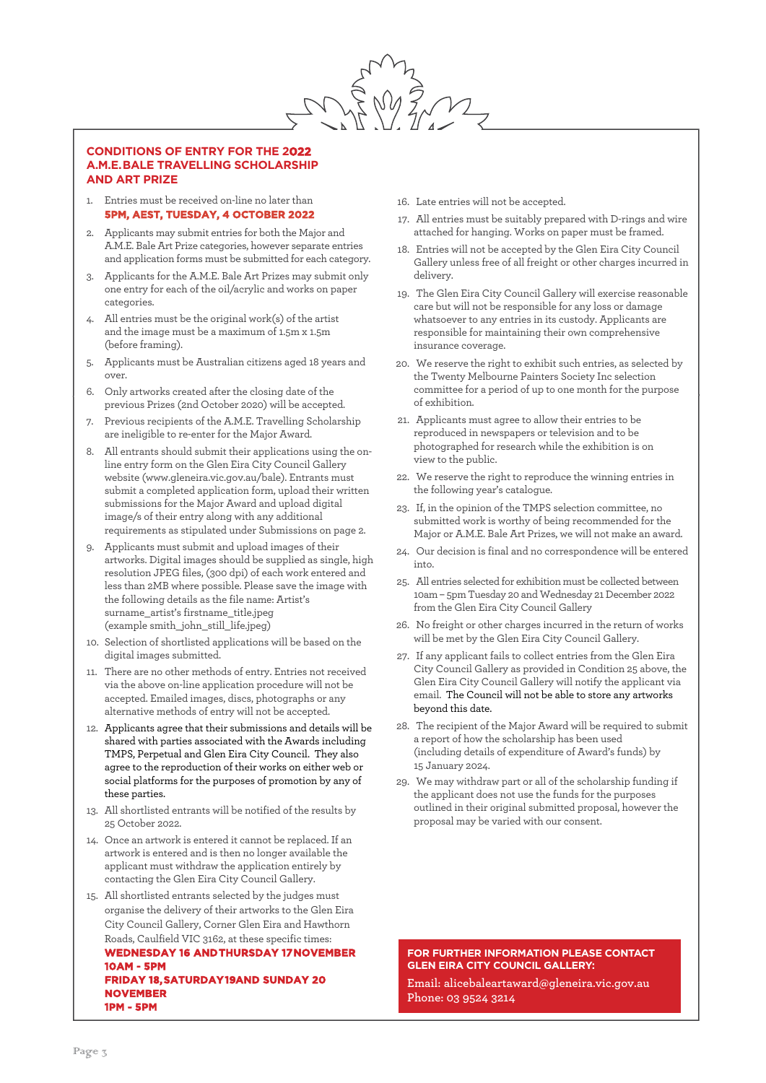

#### **CONDITIONS OF ENTRY FOR THE 2022 A.M.E. BALE TRAVELLING SCHOLARSHIP AND ART PRIZE**

- Entries must be received on-line no later than **5PM, AEST, TUESDAY, 4 OCTOBER 2022**
- 2. Applicants may submit entries for both the Major and A.M.E. Bale Art Prize categories, however separate entries and application forms must be submitted for each category.
- 3. Applicants for the A.M.E. Bale Art Prizes may submit only one entry for each of the oil/acrylic and works on paper categories.
- 4. All entries must be the original work(s) of the artist and the image must be a maximum of 1.5m x 1.5m (before framing).
- 5. Applicants must be Australian citizens aged 18 years and over.
- 6. Only artworks created after the closing date of the previous Prizes (2nd October 2020) will be accepted.
- 7. Previous recipients of the A.M.E. Travelling Scholarship are ineligible to re-enter for the Major Award.
- 8. All entrants should submit their applications using the online entry form on the Glen Eira City Council Gallery website (www.gleneira.vic.gov.au/bale). Entrants must submit a completed application form, upload their written submissions for the Major Award and upload digital image/s of their entry along with any additional requirements as stipulated under Submissions on page 2.
- 9. Applicants must submit and upload images of their artworks. Digital images should be supplied as single, high resolution JPEG files, (300 dpi) of each work entered and less than 2MB where possible. Please save the image with the following details as the file name: Artist's surname\_artist's firstname\_title.jpeg (example smith\_john\_still\_life.jpeg)
- 10. Selection of shortlisted applications will be based on the digital images submitted.
- 11. There are no other methods of entry. Entries not received via the above on-line application procedure will not be accepted. Emailed images, discs, photographs or any alternative methods of entry will not be accepted.
- 12. Applicants agree that their submissions and details will be shared with parties associated with the Awards including TMPS, Perpetual and Glen Eira City Council. They also agree to the reproduction of their works on either web or social platforms for the purposes of promotion by any of these parties.
- 13. All shortlisted entrants will be notified of the results by 25 October 2022.
- 14. Once an artwork is entered it cannot be replaced. If an artwork is entered and is then no longer available the applicant must withdraw the application entirely by contacting the Glen Eira City Council Gallery.
- 15. All shortlisted entrants selected by the judges must organise the delivery of their artworks to the Glen Eira City Council Gallery, Corner Glen Eira and Hawthorn Roads, Caulfield VIC 3162, at these specific times: **WEDNESDAY 16 AND THURSDAY 17 NOVEMBER 10AM - 5PM FRIDAY 18, SATURDAY 19AND SUNDAY 20 NOVEMBER 1PM - 5PM**
- 16. Late entries will not be accepted.
- 17. All entries must be suitably prepared with D-rings and wire attached for hanging. Works on paper must be framed.
- 18. Entries will not be accepted by the Glen Eira City Council Gallery unless free of all freight or other charges incurred in delivery.
- 19. The Glen Eira City Council Gallery will exercise reasonable care but will not be responsible for any loss or damage whatsoever to any entries in its custody. Applicants are responsible for maintaining their own comprehensive insurance coverage.
- 20. We reserve the right to exhibit such entries, as selected by the Twenty Melbourne Painters Society Inc selection committee for a period of up to one month for the purpose of exhibition.
- 21. Applicants must agree to allow their entries to be reproduced in newspapers or television and to be photographed for research while the exhibition is on view to the public.
- 22. We reserve the right to reproduce the winning entries in the following year's catalogue.
- 23. If, in the opinion of the TMPS selection committee, no submitted work is worthy of being recommended for the Major or A.M.E. Bale Art Prizes, we will not make an award.
- 24. Our decision is final and no correspondence will be entered into.
- 25. All entries selected for exhibition must be collected between 10am – 5pm Tuesday 20 and Wednesday 21 December 2022 from the Glen Eira City Council Gallery
- 26. No freight or other charges incurred in the return of works will be met by the Glen Eira City Council Gallery.
- 27. If any applicant fails to collect entries from the Glen Eira City Council Gallery as provided in Condition 25 above, the Glen Eira City Council Gallery will notify the applicant via email. The Council will not be able to store any artworks beyond this date.
- 28. The recipient of the Major Award will be required to submit a report of how the scholarship has been used (including details of expenditure of Award's funds) by 15 January 2024.
- 29. We may withdraw part or all of the scholarship funding if the applicant does not use the funds for the purposes outlined in their original submitted proposal, however the proposal may be varied with our consent.

**FOR FURTHER INFORMATION PLEASE CONTACT GLEN EIRA CITY COUNCIL GALLERY:**

**Email: alicebaleartaward@gleneira.vic.gov.au Phone: 03 9524 3214**